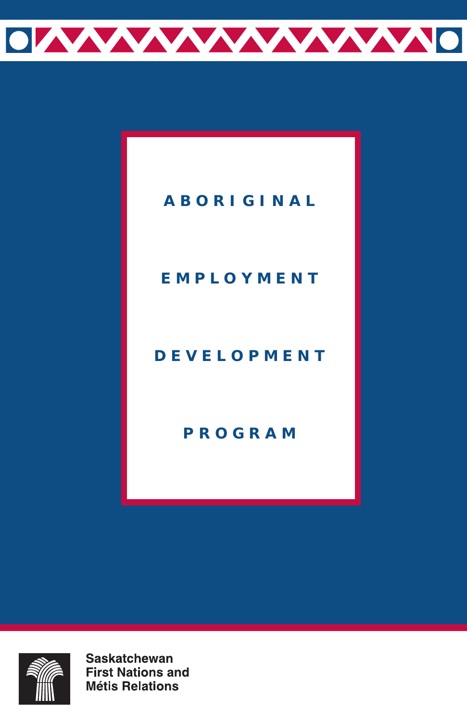

### **ABORIGINAL**

### **EMPLOYMENT**

### **DEVELOPMENT**

### **PROGRAM**



**Saskatchewan First Nations and Métis Relations**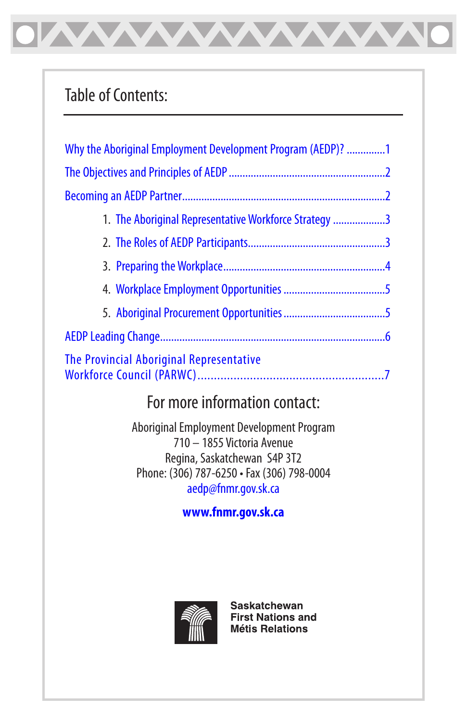## Table of Contents:

| Why the Aboriginal Employment Development Program (AEDP)? 1 |
|-------------------------------------------------------------|
|                                                             |
|                                                             |
| 1. The Aboriginal Representative Workforce Strategy 3       |
|                                                             |
|                                                             |
|                                                             |
|                                                             |
|                                                             |
| The Provincial Aboriginal Representative                    |

<u>WWWWWWW</u>

## For more information contact:

Aboriginal Employment Development Program 710 – 1855 Victoria Avenue Regina, Saskatchewan S4P 3T2 Phone: (306) 787-6250 • Fax (306) 798-0004 aedp@fnmr.gov.sk.ca

#### **www.fnmr.gov.sk.ca**



**Saskatchewan First Nations and Métis Relations**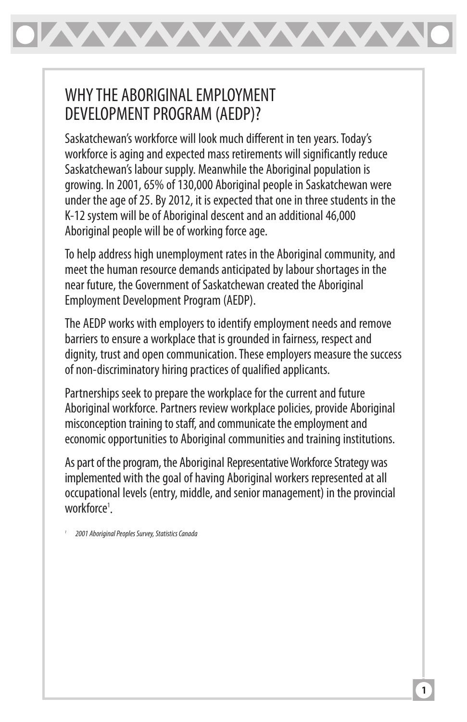<span id="page-2-0"></span>

### WHY THE ABORIGINAL EMPLOYMENT DEVELOPMENT PROGRAM (AEDP)?

Saskatchewan's workforce will look much different in ten years. Today's workforce is aging and expected mass retirements will significantly reduce Saskatchewan's labour supply. Meanwhile the Aboriginal population is growing. In 2001, 65% of 130,000 Aboriginal people in Saskatchewan were under the age of 25. By 2012, it is expected that one in three students in the K-12 system will be of Aboriginal descent and an additional 46,000 Aboriginal people will be of working force age.

To help address high unemployment rates in the Aboriginal community, and meet the human resource demands anticipated by labour shortages in the near future, the Government of Saskatchewan created the Aboriginal Employment Development Program (AEDP).

The AEDP works with employers to identify employment needs and remove barriers to ensure a workplace that is grounded in fairness, respect and dignity, trust and open communication. These employers measure the success of non-discriminatory hiring practices of qualified applicants.

Partnerships seek to prepare the workplace for the current and future Aboriginal workforce. Partners review workplace policies, provide Aboriginal misconception training to staff, and communicate the employment and economic opportunities to Aboriginal communities and training institutions.

As part of the program, the Aboriginal Representative Workforce Strategy was implemented with the goal of having Aboriginal workers represented at all occupational levels (entry, middle, and senior management) in the provincial workforce<sup>1</sup>.

1 2001 Aboriginal Peoples Survey, Statistics Canada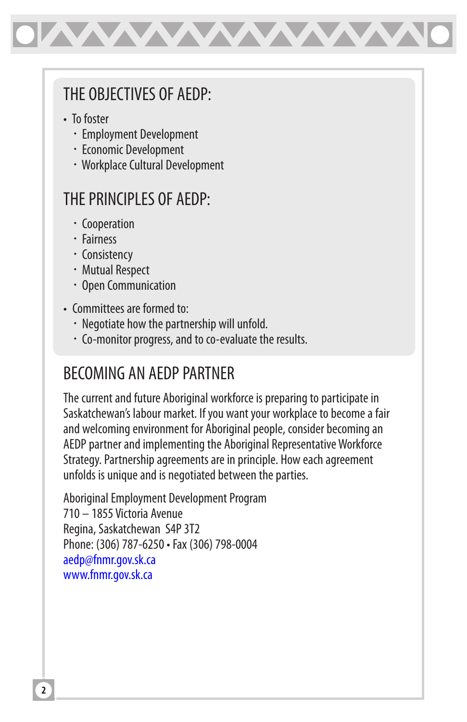<span id="page-3-0"></span>

### THE OBJECTIVES OF AEDP:

- To foster
	- Employment Development
	- Economic Development
	- Workplace Cultural Development

## THE PRINCIPI ES OF AFDP:

- Cooperation
- Fairness
- Consistency
- Mutual Respect
- Open Communication
- Committees are formed to:
	- Negotiate how the partnership will unfold.
	- Co-monitor progress, and to co-evaluate the results.

# BECOMING AN AEDP PARTNER

The current and future Aboriginal workforce is preparing to participate in Saskatchewan's labour market. If you want your workplace to become a fair and welcoming environment for Aboriginal people, consider becoming an AEDP partner and implementing the Aboriginal Representative Workforce Strategy. Partnership agreements are in principle. How each agreement unfolds is unique and is negotiated between the parties.

Aboriginal Employment Development Program 710 – 1855 Victoria Avenue Regina, Saskatchewan S4P 3T2 Phone: (306) 787-6250 • Fax (306) 798-0004 aedp@fnmr.gov.sk.ca www.fnmr.gov.sk.ca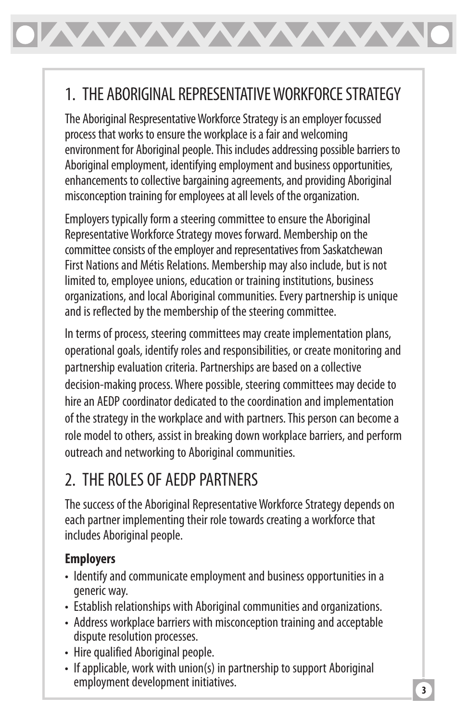# <span id="page-4-0"></span>1. THE ABORIGINAL REPRESENTATIVE WORKFORCE STRATEGY

The Aboriginal Respresentative Workforce Strategy is an employer focussed process that works to ensure the workplace is a fair and welcoming environment for Aboriginal people. This includes addressing possible barriers to Aboriginal employment, identifying employment and business opportunities, enhancements to collective bargaining agreements, and providing Aboriginal misconception training for employees at all levels of the organization.

Employers typically form a steering committee to ensure the Aboriginal Representative Workforce Strategy moves forward. Membership on the committee consists of the employer and representatives from Saskatchewan First Nations and Métis Relations. Membership may also include, but is not limited to, employee unions, education or training institutions, business organizations, and local Aboriginal communities. Every partnership is unique and is reflected by the membership of the steering committee.

In terms of process, steering committees may create implementation plans, operational goals, identify roles and responsibilities, or create monitoring and partnership evaluation criteria. Partnerships are based on a collective decision-making process. Where possible, steering committees may decide to hire an AEDP coordinator dedicated to the coordination and implementation of the strategy in the workplace and with partners. This person can become a role model to others, assist in breaking down workplace barriers, and perform outreach and networking to Aboriginal communities.

## 2. THE ROLES OF AEDP PARTNERS

The success of the Aboriginal Representative Workforce Strategy depends on each partner implementing their role towards creating a workforce that includes Aboriginal people.

#### **Employers**

- Identify and communicate employment and business opportunities in a generic way.
- Establish relationships with Aboriginal communities and organizations.
- Address workplace barriers with misconception training and acceptable dispute resolution processes.
- Hire qualified Aboriginal people.
- If applicable, work with union(s) in partnership to support Aboriginal employment development initiatives.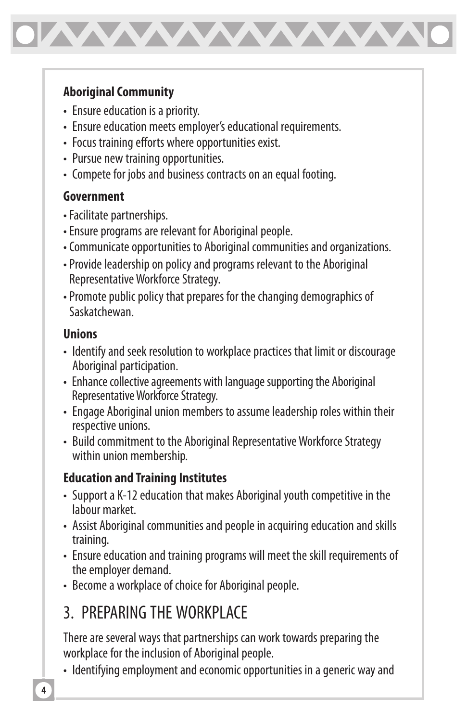<span id="page-5-0"></span>

#### **Aboriginal Community**

- Ensure education is a priority.
- Ensure education meets employer's educational requirements.
- Focus training efforts where opportunities exist.
- Pursue new training opportunities.
- Compete for jobs and business contracts on an equal footing.

#### **Government**

- Facilitate partnerships.
- Ensure programs are relevant for Aboriginal people.
- Communicate opportunities to Aboriginal communities and organizations.
- Provide leadership on policy and programs relevant to the Aboriginal Representative Workforce Strategy.
- Promote public policy that prepares for the changing demographics of Saskatchewan.

#### **Unions**

- Identify and seek resolution to workplace practices that limit or discourage Aboriginal participation.
- Enhance collective agreements with language supporting the Aboriginal Representative Workforce Strategy.
- Engage Aboriginal union members to assume leadership roles within their respective unions.
- Build commitment to the Aboriginal Representative Workforce Strategy within union membership.

#### **Education and Training Institutes**

- Support a K-12 education that makes Aboriginal youth competitive in the labour market.
- Assist Aboriginal communities and people in acquiring education and skills training.
- Ensure education and training programs will meet the skill requirements of the employer demand.
- Become a workplace of choice for Aboriginal people.

# 3. PREPARING THE WORKPLACE

There are several ways that partnerships can work towards preparing the workplace for the inclusion of Aboriginal people.

• Identifying employment and economic opportunities in a generic way and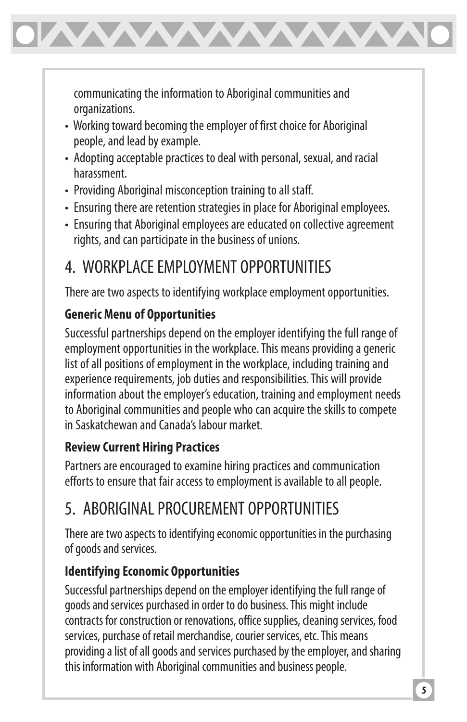<span id="page-6-0"></span>

communicating the information to Aboriginal communities and organizations.

- Working toward becoming the employer of first choice for Aboriginal people, and lead by example.
- Adopting acceptable practices to deal with personal, sexual, and racial harassment.
- Providing Aboriginal misconception training to all staff.
- Ensuring there are retention strategies in place for Aboriginal employees.
- Ensuring that Aboriginal employees are educated on collective agreement rights, and can participate in the business of unions.

# 4. WORKPLACE EMPLOYMENT OPPORTUNITIES

There are two aspects to identifying workplace employment opportunities.

### **Generic Menu of Opportunities**

Successful partnerships depend on the employer identifying the full range of employment opportunities in the workplace. This means providing a generic list of all positions of employment in the workplace, including training and experience requirements, job duties and responsibilities. This will provide information about the employer's education, training and employment needs to Aboriginal communities and people who can acquire the skills to compete in Saskatchewan and Canada's labour market.

### **Review Current Hiring Practices**

Partners are encouraged to examine hiring practices and communication efforts to ensure that fair access to employment is available to all people.

# 5. ABORIGINAL PROCUREMENT OPPORTUNITIES

There are two aspects to identifying economic opportunities in the purchasing of goods and services.

### **Identifying Economic Opportunities**

Successful partnerships depend on the employer identifying the full range of goods and services purchased in order to do business. This might include contracts for construction or renovations, office supplies, cleaning services, food services, purchase of retail merchandise, courier services, etc. This means providing a list of all goods and services purchased by the employer, and sharing this information with Aboriginal communities and business people.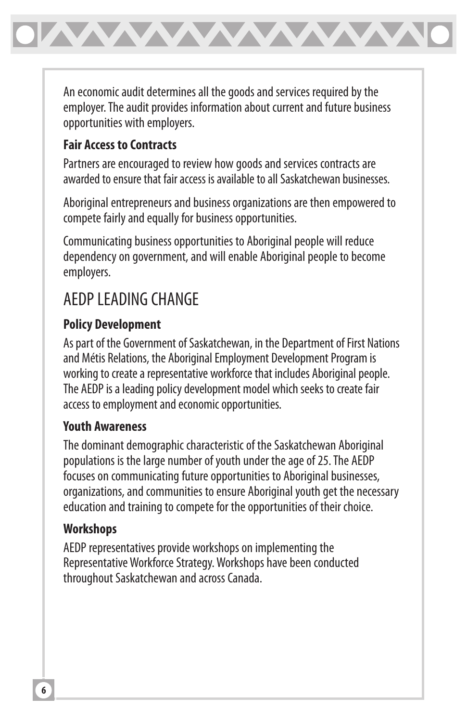<span id="page-7-0"></span>

An economic audit determines all the goods and services required by the employer. The audit provides information about current and future business opportunities with employers.

#### **Fair Access to Contracts**

Partners are encouraged to review how goods and services contracts are awarded to ensure that fair access is available to all Saskatchewan businesses.

Aboriginal entrepreneurs and business organizations are then empowered to compete fairly and equally for business opportunities.

Communicating business opportunities to Aboriginal people will reduce dependency on government, and will enable Aboriginal people to become employers.

# AEDP LEADING CHANGE

#### **Policy Development**

As part of the Government of Saskatchewan, in the Department of First Nations and Métis Relations, the Aboriginal Employment Development Program is working to create a representative workforce that includes Aboriginal people. The AEDP is a leading policy development model which seeks to create fair access to employment and economic opportunities.

#### **Youth Awareness**

The dominant demographic characteristic of the Saskatchewan Aboriginal populations is the large number of youth under the age of 25. The AEDP focuses on communicating future opportunities to Aboriginal businesses, organizations, and communities to ensure Aboriginal youth get the necessary education and training to compete for the opportunities of their choice.

#### **Workshops**

AEDP representatives provide workshops on implementing the Representative Workforce Strategy. Workshops have been conducted throughout Saskatchewan and across Canada.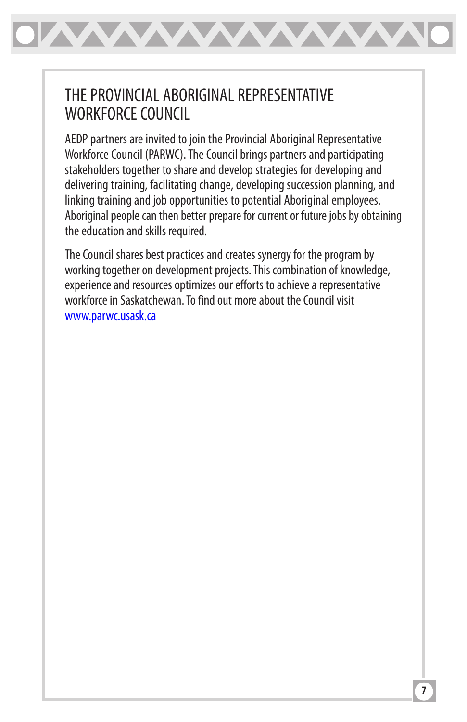<span id="page-8-0"></span>

### THE PROVINCIAL ABORIGINAL REPRESENTATIVE WORKFORCE COUNCIL

AEDP partners are invited to join the Provincial Aboriginal Representative Workforce Council (PARWC). The Council brings partners and participating stakeholders together to share and develop strategies for developing and delivering training, facilitating change, developing succession planning, and linking training and job opportunities to potential Aboriginal employees. Aboriginal people can then better prepare for current or future jobs by obtaining the education and skills required.

The Council shares best practices and creates synergy for the program by working together on development projects. This combination of knowledge, experience and resources optimizes our efforts to achieve a representative workforce in Saskatchewan. To find out more about the Council visit www.parwc.usask.ca